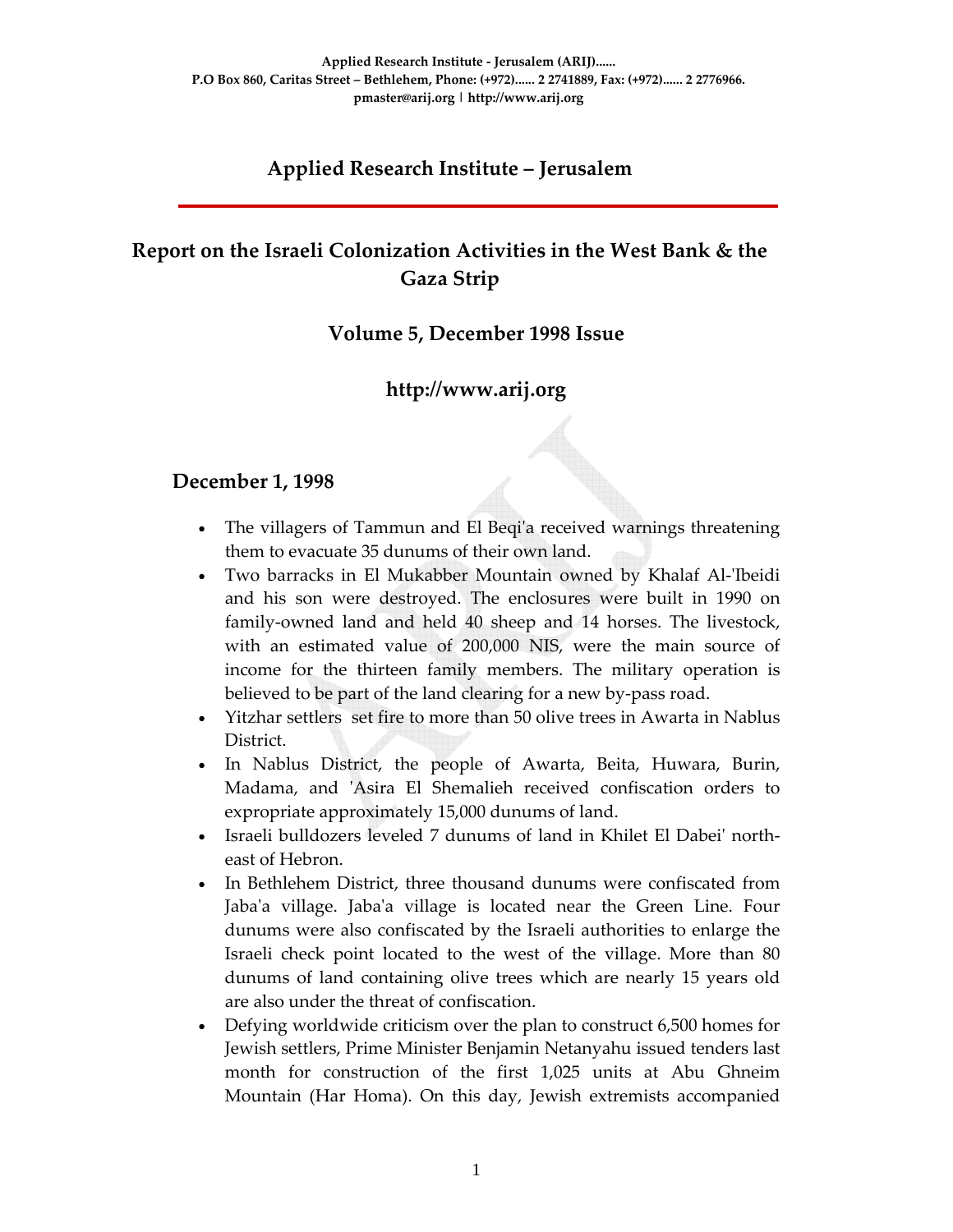# **Applied Research Institute – Jerusalem**

# **Report on the Israeli Colonization Activities in the West Bank & the Gaza Strip**

### **Volume 5, December 1998 Issue**

# **http://www.arij.org**

### **December 1, 1998**

- The villagers of Tammun and El Beqi'a received warnings threatening them to evacuate 35 dunums of their own land.
- Two barracks in El Mukabber Mountain owned by Khalaf Al-'Ibeidi and his son were destroyed. The enclosures were built in 1990 on family-owned land and held 40 sheep and 14 horses. The livestock, with an estimated value of 200,000 NIS, were the main source of income for the thirteen family members. The military operation is believed to be part of the land clearing for a new by‐pass road.
- Yitzhar settlers set fire to more than 50 olive trees in Awarta in Nablus District.
- In Nablus District, the people of Awarta, Beita, Huwara, Burin, Madama, and 'Asira El Shemalieh received confiscation orders to expropriate approximately 15,000 dunums of land.
- Israeli bulldozers leveled 7 dunums of land in Khilet El Dabeiʹ north‐ east of Hebron.
- In Bethlehem District, three thousand dunums were confiscated from Jaba'a village. Jaba'a village is located near the Green Line. Four dunums were also confiscated by the Israeli authorities to enlarge the Israeli check point located to the west of the village. More than 80 dunums of land containing olive trees which are nearly 15 years old are also under the threat of confiscation.
- Defying worldwide criticism over the plan to construct 6,500 homes for Jewish settlers, Prime Minister Benjamin Netanyahu issued tenders last month for construction of the first 1,025 units at Abu Ghneim Mountain (Har Homa). On this day, Jewish extremists accompanied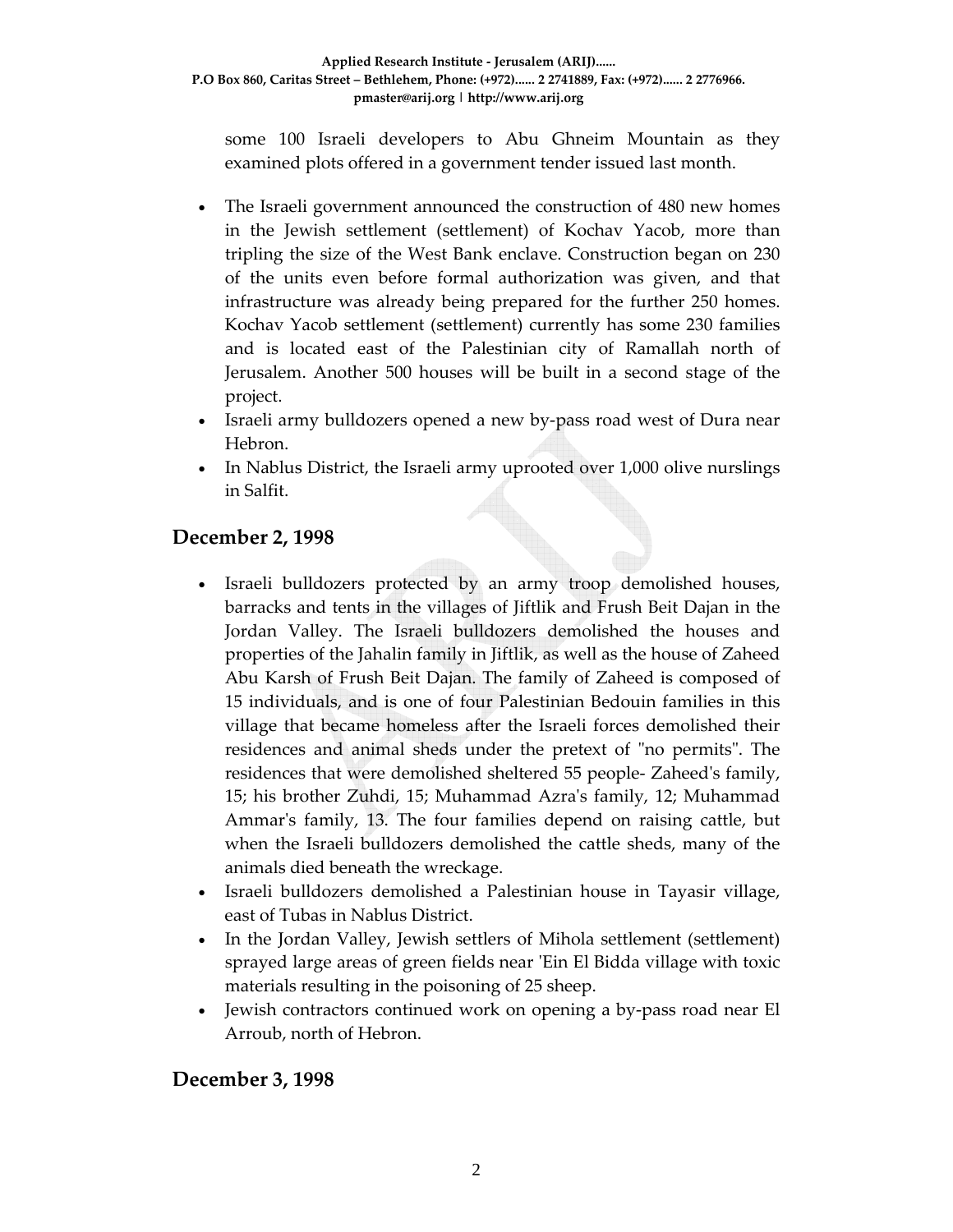some 100 Israeli developers to Abu Ghneim Mountain as they examined plots offered in a government tender issued last month.

- The Israeli government announced the construction of 480 new homes in the Jewish settlement (settlement) of Kochav Yacob, more than tripling the size of the West Bank enclave. Construction began on 230 of the units even before formal authorization was given, and that infrastructure was already being prepared for the further 250 homes. Kochav Yacob settlement (settlement) currently has some 230 families and is located east of the Palestinian city of Ramallah north of Jerusalem. Another 500 houses will be built in a second stage of the project.
- Israeli army bulldozers opened a new by-pass road west of Dura near Hebron.
- In Nablus District, the Israeli army uprooted over 1,000 olive nurslings in Salfit.

# **December 2, 1998**

- Israeli bulldozers protected by an army troop demolished houses, barracks and tents in the villages of Jiftlik and Frush Beit Dajan in the Jordan Valley. The Israeli bulldozers demolished the houses and properties of the Jahalin family in Jiftlik, as well as the house of Zaheed Abu Karsh of Frush Beit Dajan. The family of Zaheed is composed of 15 individuals, and is one of four Palestinian Bedouin families in this village that became homeless after the Israeli forces demolished their residences and animal sheds under the pretext of "no permits". The residences that were demolished sheltered 55 people‐ Zaheedʹs family, 15; his brother Zuhdi, 15; Muhammad Azraʹs family, 12; Muhammad Ammarʹs family, 13. The four families depend on raising cattle, but when the Israeli bulldozers demolished the cattle sheds, many of the animals died beneath the wreckage.
- Israeli bulldozers demolished a Palestinian house in Tayasir village, east of Tubas in Nablus District.
- In the Jordan Valley, Jewish settlers of Mihola settlement (settlement) sprayed large areas of green fields near 'Ein El Bidda village with toxic materials resulting in the poisoning of 25 sheep.
- Jewish contractors continued work on opening a by-pass road near El Arroub, north of Hebron.

### **December 3, 1998**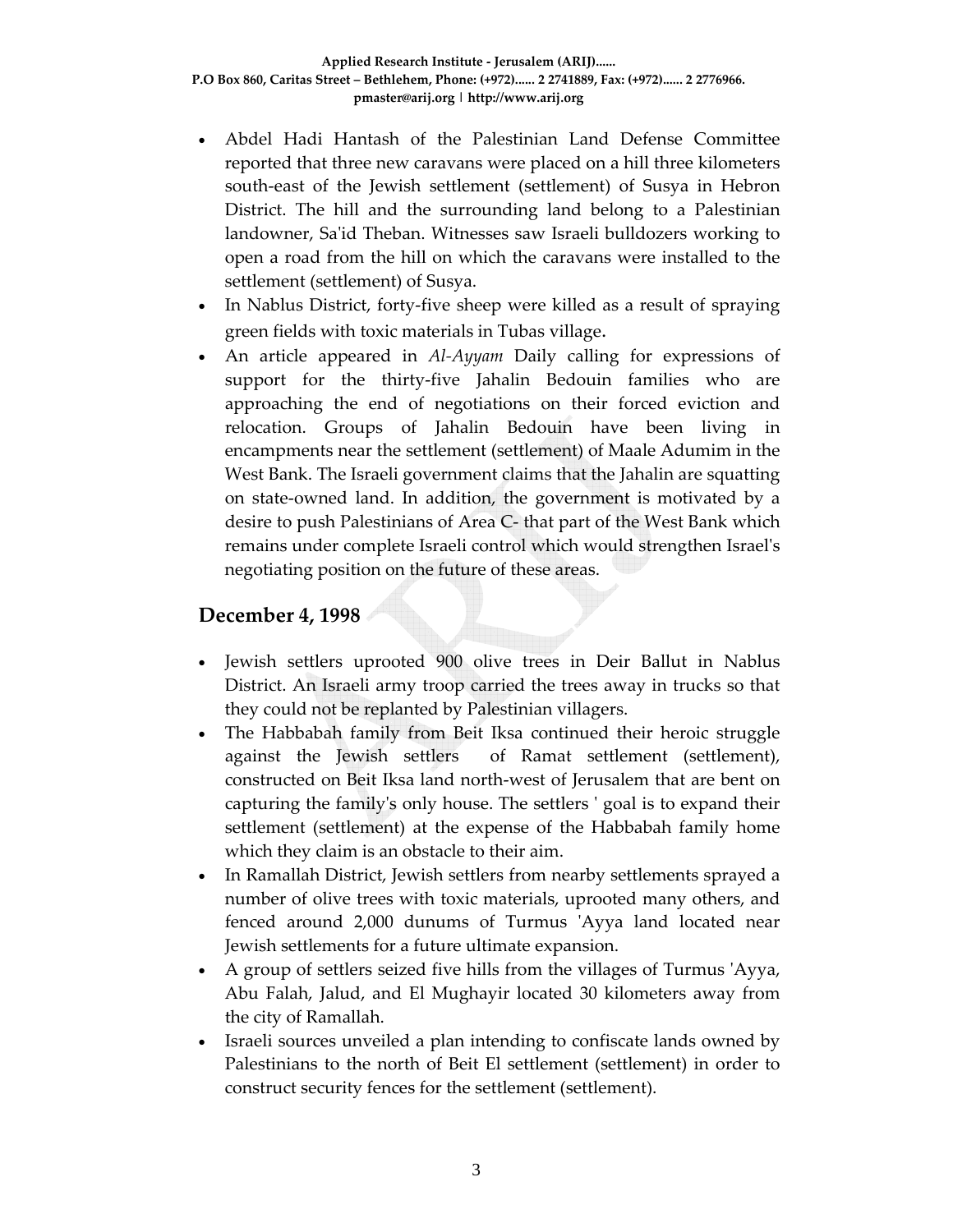- Abdel Hadi Hantash of the Palestinian Land Defense Committee reported that three new caravans were placed on a hill three kilometers south-east of the Jewish settlement (settlement) of Susya in Hebron District. The hill and the surrounding land belong to a Palestinian landowner, Sa'id Theban. Witnesses saw Israeli bulldozers working to open a road from the hill on which the caravans were installed to the settlement (settlement) of Susya.
- In Nablus District, forty-five sheep were killed as a result of spraying green fields with toxic materials in Tubas village.
- An article appeared in *Al-Ayyam* Daily calling for expressions of support for the thirty-five Jahalin Bedouin families who are approaching the end of negotiations on their forced eviction and relocation. Groups of Jahalin Bedouin have been living in encampments near the settlement (settlement) of Maale Adumim in the West Bank. The Israeli government claims that the Jahalin are squatting on state‐owned land. In addition, the government is motivated by a desire to push Palestinians of Area C‐ that part of the West Bank which remains under complete Israeli control which would strengthen Israelʹs negotiating position on the future of these areas.

# **December 4, 1998**

- Jewish settlers uprooted 900 olive trees in Deir Ballut in Nablus District. An Israeli army troop carried the trees away in trucks so that they could not be replanted by Palestinian villagers.
- The Habbabah family from Beit Iksa continued their heroic struggle against the Jewish settlers of Ramat settlement (settlement), constructed on Beit Iksa land north‐west of Jerusalem that are bent on capturing the familyʹs only house. The settlers ʹ goal is to expand their settlement (settlement) at the expense of the Habbabah family home which they claim is an obstacle to their aim.
- In Ramallah District, Jewish settlers from nearby settlements sprayed a number of olive trees with toxic materials, uprooted many others, and fenced around 2,000 dunums of Turmus 'Ayya land located near Jewish settlements for a future ultimate expansion.
- A group of settlers seized five hills from the villages of Turmus ʹAyya, Abu Falah, Jalud, and El Mughayir located 30 kilometers away from the city of Ramallah.
- Israeli sources unveiled a plan intending to confiscate lands owned by Palestinians to the north of Beit El settlement (settlement) in order to construct security fences for the settlement (settlement).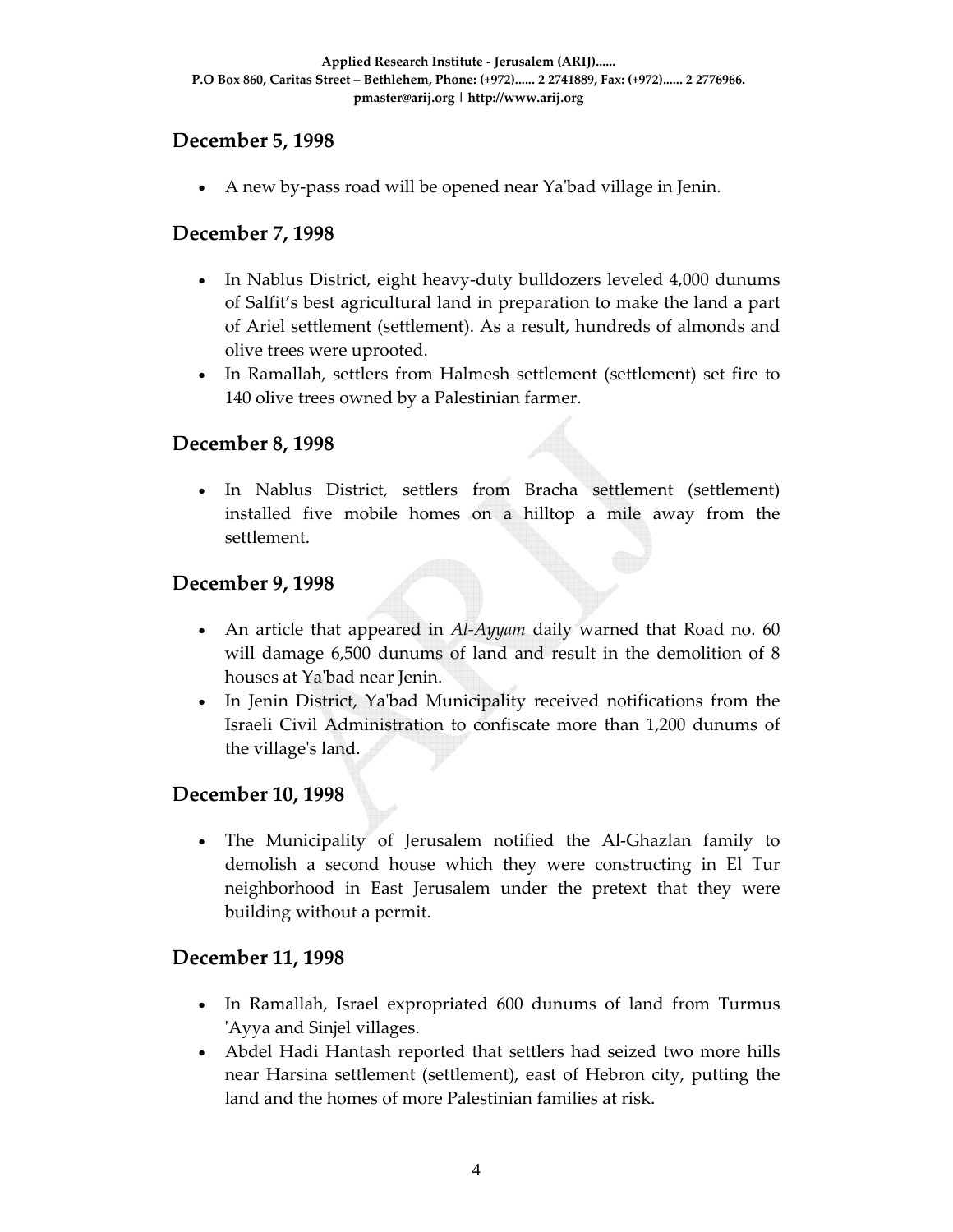### **December 5, 1998**

• A new by-pass road will be opened near Ya'bad village in Jenin.

### **December 7, 1998**

- In Nablus District, eight heavy‐duty bulldozers leveled 4,000 dunums of Salfit's best agricultural land in preparation to make the land a part of Ariel settlement (settlement). As a result, hundreds of almonds and olive trees were uprooted.
- In Ramallah, settlers from Halmesh settlement (settlement) set fire to 140 olive trees owned by a Palestinian farmer.

### **December 8, 1998**

• In Nablus District, settlers from Bracha settlement (settlement) installed five mobile homes on a hilltop a mile away from the settlement.

### **December 9, 1998**

- An article that appeared in *Al-Ayyam* daily warned that Road no. 60 will damage 6,500 dunums of land and result in the demolition of 8 houses at Yaʹbad near Jenin.
- In Jenin District, Ya'bad Municipality received notifications from the Israeli Civil Administration to confiscate more than 1,200 dunums of the villageʹs land.

### **December 10, 1998**

The Municipality of Jerusalem notified the Al-Ghazlan family to demolish a second house which they were constructing in El Tur neighborhood in East Jerusalem under the pretext that they were building without a permit.

### **December 11, 1998**

- In Ramallah, Israel expropriated 600 dunums of land from Turmus ʹAyya and Sinjel villages.
- Abdel Hadi Hantash reported that settlers had seized two more hills near Harsina settlement (settlement), east of Hebron city, putting the land and the homes of more Palestinian families at risk.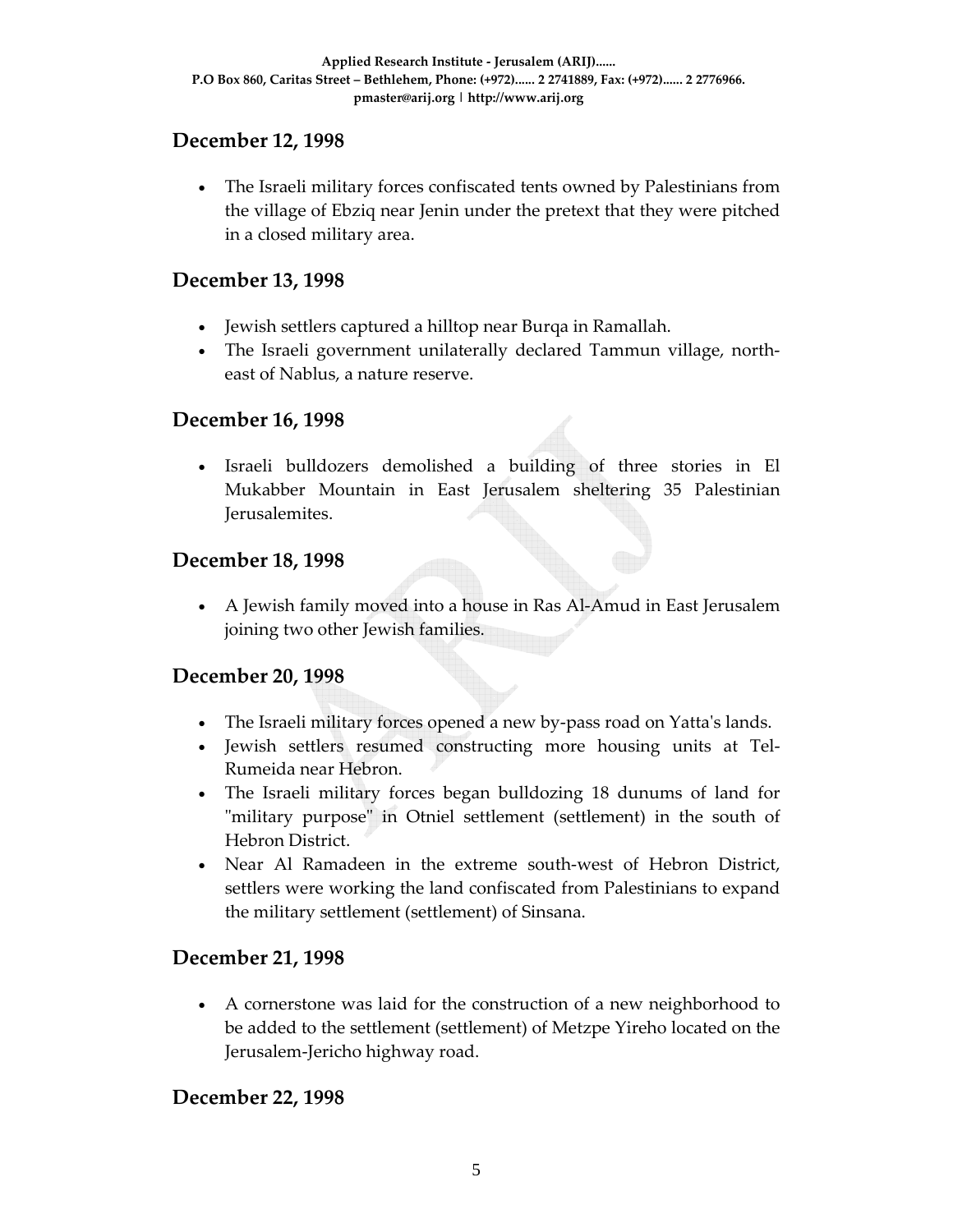# **December 12, 1998**

• The Israeli military forces confiscated tents owned by Palestinians from the village of Ebziq near Jenin under the pretext that they were pitched in a closed military area.

## **December 13, 1998**

- Jewish settlers captured a hilltop near Burqa in Ramallah.
- The Israeli government unilaterally declared Tammun village, northeast of Nablus, a nature reserve.

### **December 16, 1998**

• Israeli bulldozers demolished a building of three stories in El Mukabber Mountain in East Jerusalem sheltering 35 Palestinian Jerusalemites.

### **December 18, 1998**

• A Jewish family moved into a house in Ras Al-Amud in East Jerusalem joining two other Jewish families.

### **December 20, 1998**

- The Israeli military forces opened a new by-pass road on Yatta's lands.
- Jewish settlers resumed constructing more housing units at Tel‐ Rumeida near Hebron.
- The Israeli military forces began bulldozing 18 dunums of land for "military purpose" in Otniel settlement (settlement) in the south of Hebron District.
- Near Al Ramadeen in the extreme south‐west of Hebron District, settlers were working the land confiscated from Palestinians to expand the military settlement (settlement) of Sinsana.

# **December 21, 1998**

• A cornerstone was laid for the construction of a new neighborhood to be added to the settlement (settlement) of Metzpe Yireho located on the Jerusalem‐Jericho highway road.

# **December 22, 1998**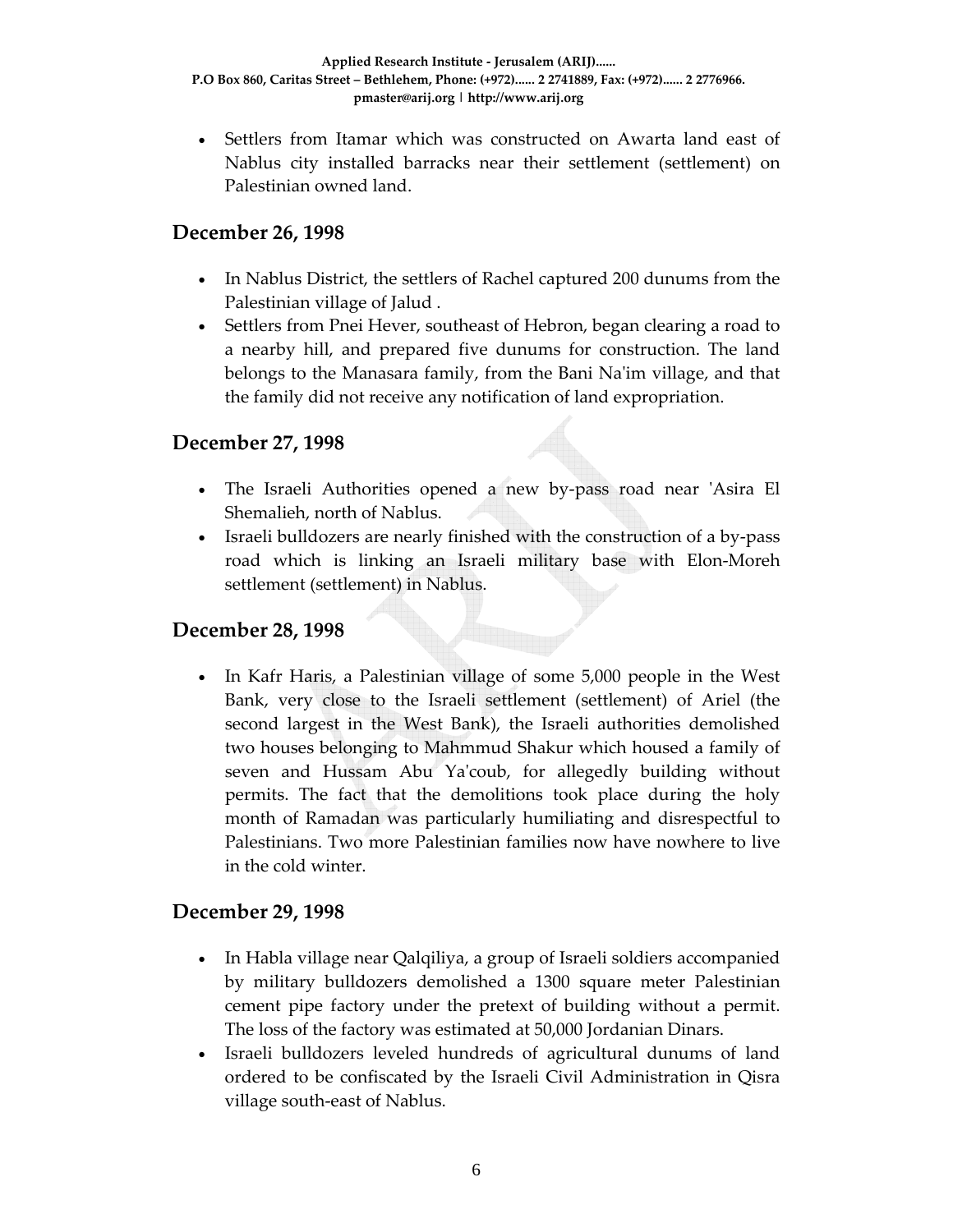• Settlers from Itamar which was constructed on Awarta land east of Nablus city installed barracks near their settlement (settlement) on Palestinian owned land.

### **December 26, 1998**

- In Nablus District, the settlers of Rachel captured 200 dunums from the Palestinian village of Jalud .
- Settlers from Pnei Hever, southeast of Hebron, began clearing a road to a nearby hill, and prepared five dunums for construction. The land belongs to the Manasara family, from the Bani Na'im village, and that the family did not receive any notification of land expropriation.

### **December 27, 1998**

- The Israeli Authorities opened a new by-pass road near 'Asira El Shemalieh, north of Nablus.
- Israeli bulldozers are nearly finished with the construction of a by-pass road which is linking an Israeli military base with Elon‐Moreh settlement (settlement) in Nablus.

### **December 28, 1998**

• In Kafr Haris, a Palestinian village of some 5,000 people in the West Bank, very close to the Israeli settlement (settlement) of Ariel (the second largest in the West Bank), the Israeli authorities demolished two houses belonging to Mahmmud Shakur which housed a family of seven and Hussam Abu Yaʹcoub, for allegedly building without permits. The fact that the demolitions took place during the holy month of Ramadan was particularly humiliating and disrespectful to Palestinians. Two more Palestinian families now have nowhere to live in the cold winter.

### **December 29, 1998**

- In Habla village near Qalqiliya, a group of Israeli soldiers accompanied by military bulldozers demolished a 1300 square meter Palestinian cement pipe factory under the pretext of building without a permit. The loss of the factory was estimated at 50,000 Jordanian Dinars.
- Israeli bulldozers leveled hundreds of agricultural dunums of land ordered to be confiscated by the Israeli Civil Administration in Qisra village south‐east of Nablus.